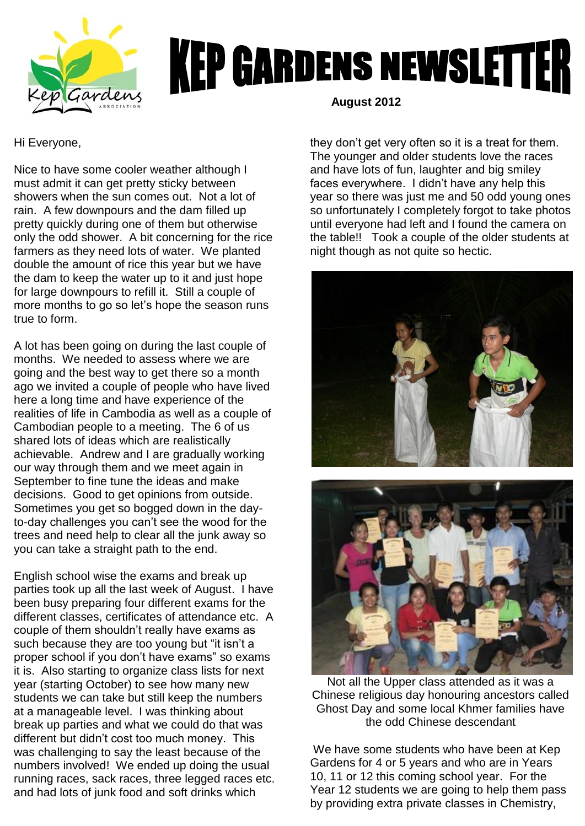

## **KEP GARDENS NEWSLETTER**

Hi Everyone,

Nice to have some cooler weather although I must admit it can get pretty sticky between showers when the sun comes out. Not a lot of rain. A few downpours and the dam filled up pretty quickly during one of them but otherwise only the odd shower. A bit concerning for the rice farmers as they need lots of water. We planted double the amount of rice this year but we have the dam to keep the water up to it and just hope for large downpours to refill it. Still a couple of more months to go so let's hope the season runs true to form.

A lot has been going on during the last couple of months. We needed to assess where we are going and the best way to get there so a month ago we invited a couple of people who have lived here a long time and have experience of the realities of life in Cambodia as well as a couple of Cambodian people to a meeting. The 6 of us shared lots of ideas which are realistically achievable. Andrew and I are gradually working our way through them and we meet again in September to fine tune the ideas and make decisions. Good to get opinions from outside. Sometimes you get so bogged down in the dayto-day challenges you can't see the wood for the trees and need help to clear all the junk away so you can take a straight path to the end.

English school wise the exams and break up parties took up all the last week of August. I have been busy preparing four different exams for the different classes, certificates of attendance etc. A couple of them shouldn't really have exams as such because they are too young but "it isn't a proper school if you don't have exams" so exams it is. Also starting to organize class lists for next year (starting October) to see how many new students we can take but still keep the numbers at a manageable level. I was thinking about break up parties and what we could do that was different but didn't cost too much money. This was challenging to say the least because of the numbers involved! We ended up doing the usual running races, sack races, three legged races etc. and had lots of junk food and soft drinks which

 **August 2012**

they don't get very often so it is a treat for them. The younger and older students love the races and have lots of fun, laughter and big smiley faces everywhere. I didn't have any help this year so there was just me and 50 odd young ones so unfortunately I completely forgot to take photos until everyone had left and I found the camera on the table!! Took a couple of the older students at night though as not quite so hectic.



Not all the Upper class attended as it was a Chinese religious day honouring ancestors called Ghost Day and some local Khmer families have the odd Chinese descendant

We have some students who have been at Kep Gardens for 4 or 5 years and who are in Years 10, 11 or 12 this coming school year. For the Year 12 students we are going to help them pass by providing extra private classes in Chemistry,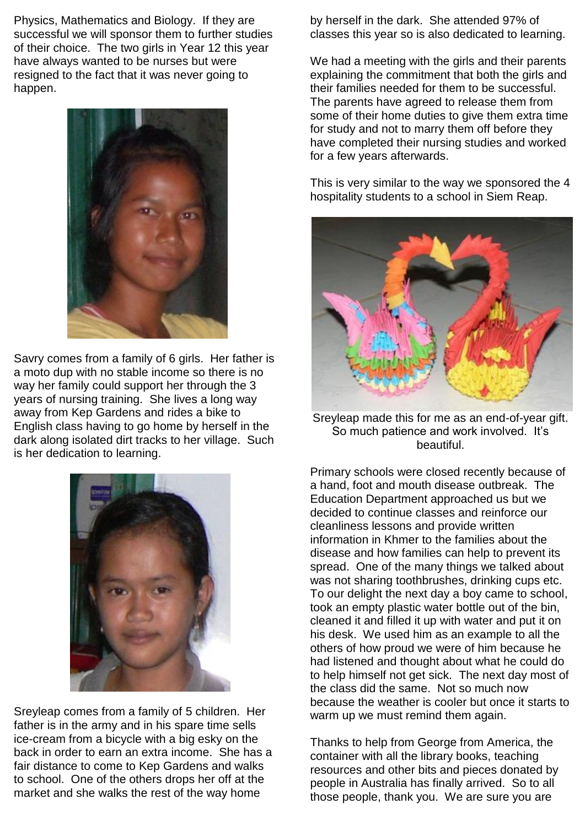Physics, Mathematics and Biology. If they are successful we will sponsor them to further studies of their choice. The two girls in Year 12 this year have always wanted to be nurses but were resigned to the fact that it was never going to happen.



Savry comes from a family of 6 girls. Her father is a moto dup with no stable income so there is no way her family could support her through the 3 years of nursing training. She lives a long way away from Kep Gardens and rides a bike to English class having to go home by herself in the dark along isolated dirt tracks to her village. Such is her dedication to learning.



Sreyleap comes from a family of 5 children. Her father is in the army and in his spare time sells ice-cream from a bicycle with a big esky on the back in order to earn an extra income. She has a fair distance to come to Kep Gardens and walks to school. One of the others drops her off at the market and she walks the rest of the way home

by herself in the dark. She attended 97% of classes this year so is also dedicated to learning.

We had a meeting with the girls and their parents explaining the commitment that both the girls and their families needed for them to be successful. The parents have agreed to release them from some of their home duties to give them extra time for study and not to marry them off before they have completed their nursing studies and worked for a few years afterwards.

This is very similar to the way we sponsored the 4 hospitality students to a school in Siem Reap.



Sreyleap made this for me as an end-of-year gift. So much patience and work involved. It's beautiful.

Primary schools were closed recently because of a hand, foot and mouth disease outbreak. The Education Department approached us but we decided to continue classes and reinforce our cleanliness lessons and provide written information in Khmer to the families about the disease and how families can help to prevent its spread. One of the many things we talked about was not sharing toothbrushes, drinking cups etc. To our delight the next day a boy came to school, took an empty plastic water bottle out of the bin, cleaned it and filled it up with water and put it on his desk. We used him as an example to all the others of how proud we were of him because he had listened and thought about what he could do to help himself not get sick. The next day most of the class did the same. Not so much now because the weather is cooler but once it starts to warm up we must remind them again.

Thanks to help from George from America, the container with all the library books, teaching resources and other bits and pieces donated by people in Australia has finally arrived. So to all those people, thank you. We are sure you are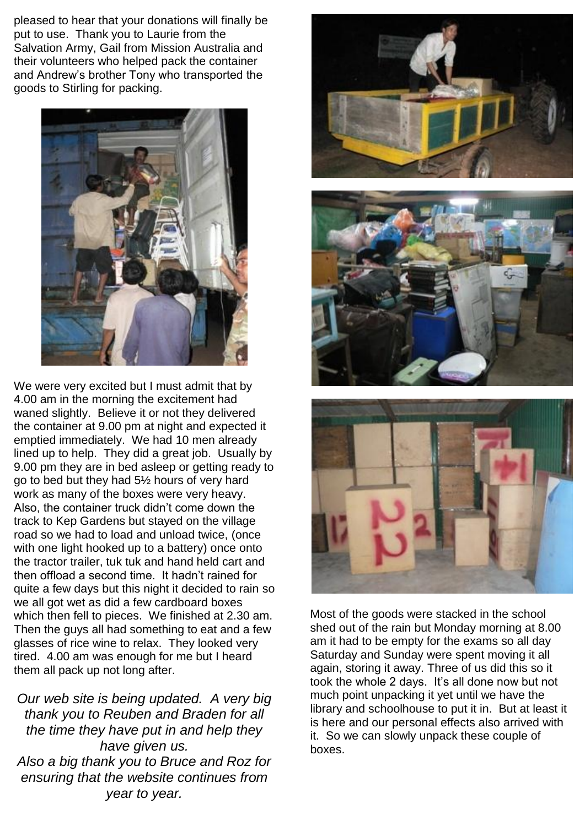pleased to hear that your donations will finally be put to use. Thank you to Laurie from the Salvation Army, Gail from Mission Australia and their volunteers who helped pack the container and Andrew's brother Tony who transported the goods to Stirling for packing.



We were very excited but I must admit that by 4.00 am in the morning the excitement had waned slightly. Believe it or not they delivered the container at 9.00 pm at night and expected it emptied immediately. We had 10 men already lined up to help. They did a great job. Usually by 9.00 pm they are in bed asleep or getting ready to go to bed but they had 5½ hours of very hard work as many of the boxes were very heavy. Also, the container truck didn't come down the track to Kep Gardens but stayed on the village road so we had to load and unload twice, (once with one light hooked up to a battery) once onto the tractor trailer, tuk tuk and hand held cart and then offload a second time. It hadn't rained for quite a few days but this night it decided to rain so we all got wet as did a few cardboard boxes which then fell to pieces. We finished at 2.30 am. Then the guys all had something to eat and a few glasses of rice wine to relax. They looked very tired. 4.00 am was enough for me but I heard them all pack up not long after.

*Our web site is being updated. A very big thank you to Reuben and Braden for all the time they have put in and help they have given us. Also a big thank you to Bruce and Roz for ensuring that the website continues from year to year.*







Most of the goods were stacked in the school shed out of the rain but Monday morning at 8.00 am it had to be empty for the exams so all day Saturday and Sunday were spent moving it all again, storing it away. Three of us did this so it took the whole 2 days. It's all done now but not much point unpacking it yet until we have the library and schoolhouse to put it in. But at least it is here and our personal effects also arrived with it. So we can slowly unpack these couple of boxes.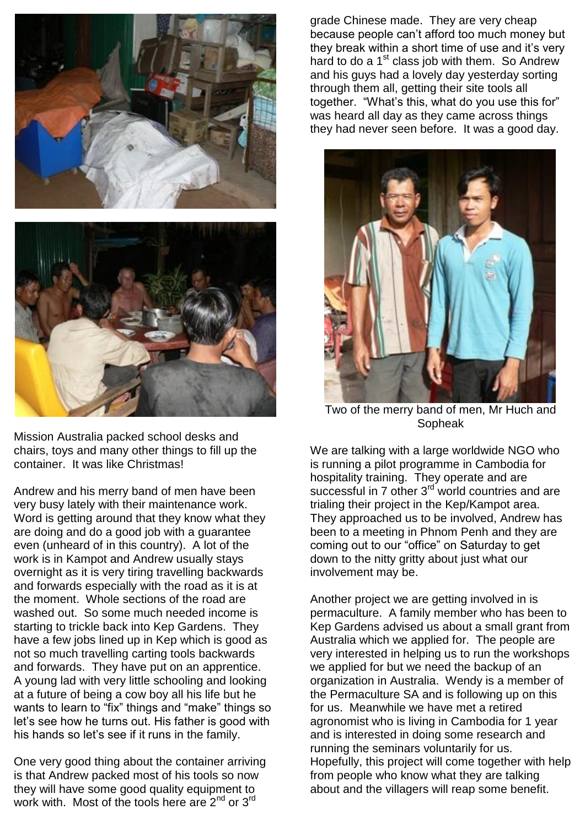



Mission Australia packed school desks and chairs, toys and many other things to fill up the container. It was like Christmas!

Andrew and his merry band of men have been very busy lately with their maintenance work. Word is getting around that they know what they are doing and do a good job with a guarantee even (unheard of in this country). A lot of the work is in Kampot and Andrew usually stays overnight as it is very tiring travelling backwards and forwards especially with the road as it is at the moment. Whole sections of the road are washed out. So some much needed income is starting to trickle back into Kep Gardens. They have a few jobs lined up in Kep which is good as not so much travelling carting tools backwards and forwards. They have put on an apprentice. A young lad with very little schooling and looking at a future of being a cow boy all his life but he wants to learn to "fix" things and "make" things so let's see how he turns out. His father is good with his hands so let's see if it runs in the family.

One very good thing about the container arriving is that Andrew packed most of his tools so now they will have some good quality equipment to work with. Most of the tools here are  $2^{nd}$  or  $3^{rd}$ 

grade Chinese made. They are very cheap because people can't afford too much money but they break within a short time of use and it's very hard to do a 1<sup>st</sup> class job with them. So Andrew and his guys had a lovely day yesterday sorting through them all, getting their site tools all together. "What's this, what do you use this for" was heard all day as they came across things they had never seen before. It was a good day.



Two of the merry band of men, Mr Huch and Sopheak

We are talking with a large worldwide NGO who is running a pilot programme in Cambodia for hospitality training. They operate and are successful in 7 other 3<sup>rd</sup> world countries and are trialing their project in the Kep/Kampot area. They approached us to be involved, Andrew has been to a meeting in Phnom Penh and they are coming out to our "office" on Saturday to get down to the nitty gritty about just what our involvement may be.

Another project we are getting involved in is permaculture. A family member who has been to Kep Gardens advised us about a small grant from Australia which we applied for. The people are very interested in helping us to run the workshops we applied for but we need the backup of an organization in Australia. Wendy is a member of the Permaculture SA and is following up on this for us. Meanwhile we have met a retired agronomist who is living in Cambodia for 1 year and is interested in doing some research and running the seminars voluntarily for us. Hopefully, this project will come together with help from people who know what they are talking about and the villagers will reap some benefit.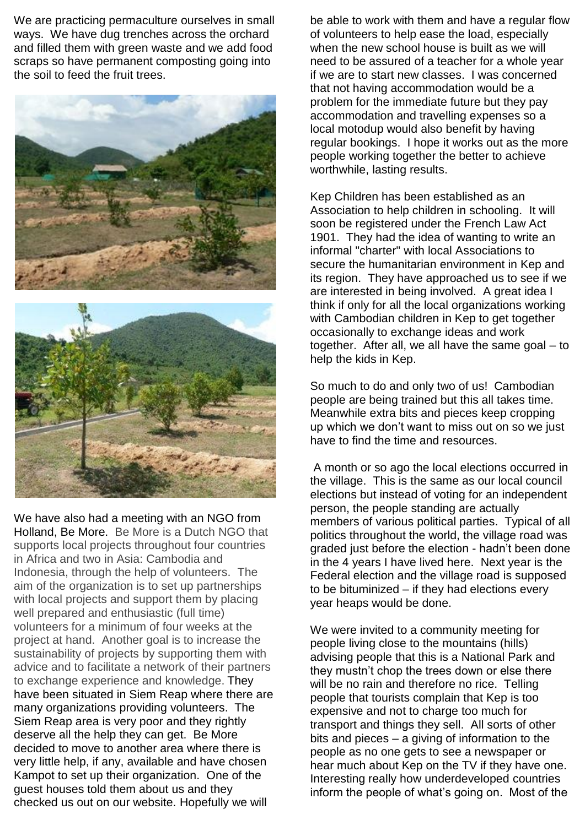We are practicing permaculture ourselves in small ways. We have dug trenches across the orchard and filled them with green waste and we add food scraps so have permanent composting going into the soil to feed the fruit trees.





We have also had a meeting with an NGO from Holland, Be More. Be More is a Dutch NGO that supports local projects throughout four countries in Africa and two in Asia: Cambodia and Indonesia, through the help of volunteers. The aim of the organization is to set up partnerships with local projects and support them by placing well prepared and enthusiastic (full time) volunteers for a minimum of four weeks at the project at hand. Another goal is to increase the sustainability of projects by supporting them with advice and to facilitate a network of their partners to exchange experience and knowledge. They have been situated in Siem Reap where there are many organizations providing volunteers. The Siem Reap area is very poor and they rightly deserve all the help they can get. Be More decided to move to another area where there is very little help, if any, available and have chosen Kampot to set up their organization. One of the guest houses told them about us and they checked us out on our website. Hopefully we will

be able to work with them and have a regular flow of volunteers to help ease the load, especially when the new school house is built as we will need to be assured of a teacher for a whole year if we are to start new classes. I was concerned that not having accommodation would be a problem for the immediate future but they pay accommodation and travelling expenses so a local motodup would also benefit by having regular bookings. I hope it works out as the more people working together the better to achieve worthwhile, lasting results.

Kep Children has been established as an Association to help children in schooling. It will soon be registered under the French Law Act 1901. They had the idea of wanting to write an informal "charter" with local Associations to secure the humanitarian environment in Kep and its region. They have approached us to see if we are interested in being involved. A great idea I think if only for all the local organizations working with Cambodian children in Kep to get together occasionally to exchange ideas and work together. After all, we all have the same goal – to help the kids in Kep.

So much to do and only two of us! Cambodian people are being trained but this all takes time. Meanwhile extra bits and pieces keep cropping up which we don't want to miss out on so we just have to find the time and resources.

A month or so ago the local elections occurred in the village. This is the same as our local council elections but instead of voting for an independent person, the people standing are actually members of various political parties. Typical of all politics throughout the world, the village road was graded just before the election - hadn't been done in the 4 years I have lived here. Next year is the Federal election and the village road is supposed to be bituminized – if they had elections every year heaps would be done.

We were invited to a community meeting for people living close to the mountains (hills) advising people that this is a National Park and they mustn't chop the trees down or else there will be no rain and therefore no rice. Telling people that tourists complain that Kep is too expensive and not to charge too much for transport and things they sell. All sorts of other bits and pieces – a giving of information to the people as no one gets to see a newspaper or hear much about Kep on the TV if they have one. Interesting really how underdeveloped countries inform the people of what's going on. Most of the